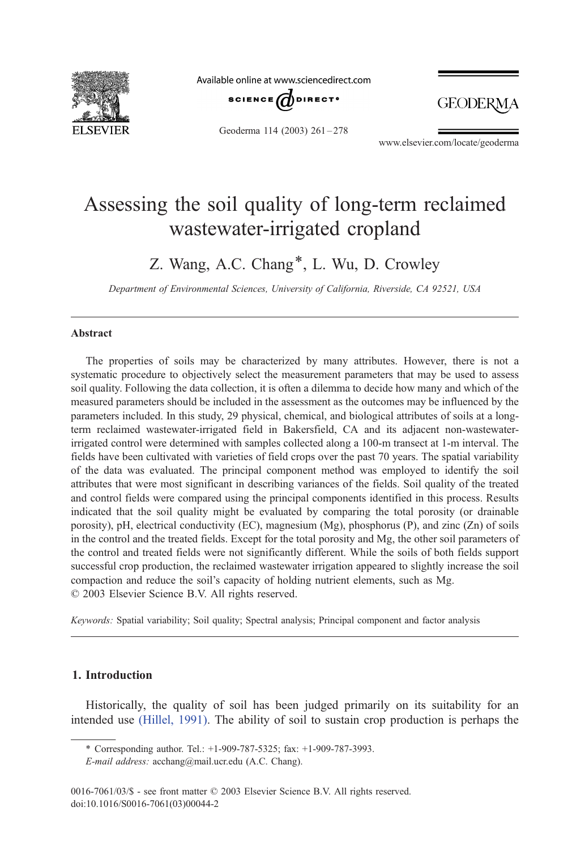

Available online at www.sciencedirect.com



**GEODERMA** 

Geoderma 114 (2003) 261-278

www.elsevier.com/locate/geoderma

# Assessing the soil quality of long-term reclaimed wastewater-irrigated cropland

Z. Wang, A.C. Chang\*, L. Wu, D. Crowley

Department of Environmental Sciences, University of California, Riverside, CA 92521, USA

#### Abstract

The properties of soils may be characterized by many attributes. However, there is not a systematic procedure to objectively select the measurement parameters that may be used to assess soil quality. Following the data collection, it is often a dilemma to decide how many and which of the measured parameters should be included in the assessment as the outcomes may be influenced by the parameters included. In this study, 29 physical, chemical, and biological attributes of soils at a longterm reclaimed wastewater-irrigated field in Bakersfield, CA and its adjacent non-wastewaterirrigated control were determined with samples collected along a 100-m transect at 1-m interval. The fields have been cultivated with varieties of field crops over the past 70 years. The spatial variability of the data was evaluated. The principal component method was employed to identify the soil attributes that were most significant in describing variances of the fields. Soil quality of the treated and control fields were compared using the principal components identified in this process. Results indicated that the soil quality might be evaluated by comparing the total porosity (or drainable porosity), pH, electrical conductivity (EC), magnesium (Mg), phosphorus (P), and zinc (Zn) of soils in the control and the treated fields. Except for the total porosity and Mg, the other soil parameters of the control and treated fields were not significantly different. While the soils of both fields support successful crop production, the reclaimed wastewater irrigation appeared to slightly increase the soil compaction and reduce the soil's capacity of holding nutrient elements, such as Mg.  $\odot$  2003 Elsevier Science B.V. All rights reserved.

Keywords: Spatial variability; Soil quality; Spectral analysis; Principal component and factor analysis

## 1. Introduction

Historically, the quality of soil has been judged primarily on its suitability for an intended use [\(Hillel, 1991\).](#page-17-0) The ability of soil to sustain crop production is perhaps the

<sup>\*</sup> Corresponding author. Tel.: +1-909-787-5325; fax: +1-909-787-3993.

E-mail address: acchang@mail.ucr.edu (A.C. Chang).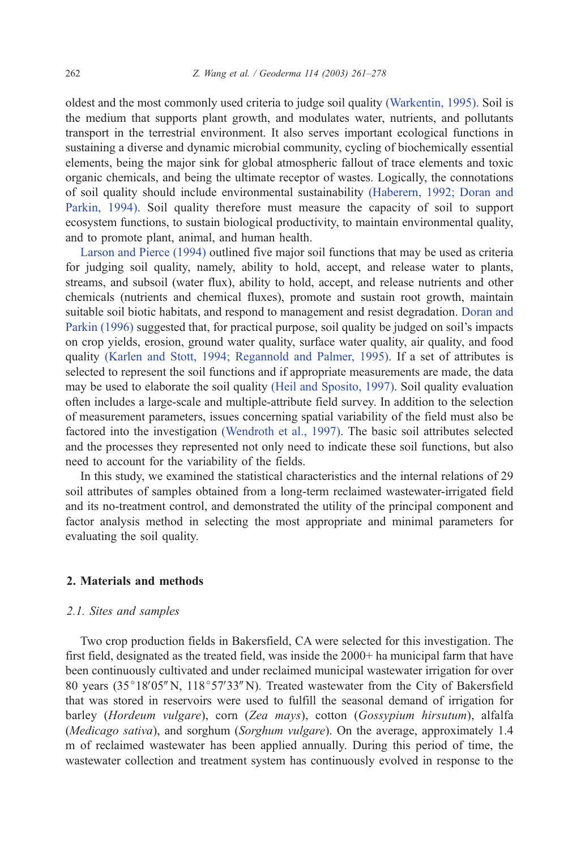oldest and the most commonly used criteria to judge soil quality [\(Warkentin, 1995\).](#page-17-0) Soil is the medium that supports plant growth, and modulates water, nutrients, and pollutants transport in the terrestrial environment. It also serves important ecological functions in sustaining a diverse and dynamic microbial community, cycling of biochemically essential elements, being the major sink for global atmospheric fallout of trace elements and toxic organic chemicals, and being the ultimate receptor of wastes. Logically, the connotations of soil quality should include environmental sustainability [\(Haberern, 1992; Doran and](#page-17-0) Parkin, 1994). Soil quality therefore must measure the capacity of soil to support ecosystem functions, to sustain biological productivity, to maintain environmental quality, and to promote plant, animal, and human health.

[Larson and Pierce \(1994\)](#page-17-0) outlined five major soil functions that may be used as criteria for judging soil quality, namely, ability to hold, accept, and release water to plants, streams, and subsoil (water flux), ability to hold, accept, and release nutrients and other chemicals (nutrients and chemical fluxes), promote and sustain root growth, maintain suitable soil biotic habitats, and respond to management and resist degradation. [Doran and](#page-16-0) Parkin (1996) suggested that, for practical purpose, soil quality be judged on soil's impacts on crop yields, erosion, ground water quality, surface water quality, air quality, and food quality [\(Karlen and Stott, 1994; Regannold and Palmer, 1995\).](#page-17-0) If a set of attributes is selected to represent the soil functions and if appropriate measurements are made, the data may be used to elaborate the soil quality [\(Heil and Sposito, 1997\).](#page-17-0) Soil quality evaluation often includes a large-scale and multiple-attribute field survey. In addition to the selection of measurement parameters, issues concerning spatial variability of the field must also be factored into the investigation [\(Wendroth et al., 1997\).](#page-17-0) The basic soil attributes selected and the processes they represented not only need to indicate these soil functions, but also need to account for the variability of the fields.

In this study, we examined the statistical characteristics and the internal relations of 29 soil attributes of samples obtained from a long-term reclaimed wastewater-irrigated field and its no-treatment control, and demonstrated the utility of the principal component and factor analysis method in selecting the most appropriate and minimal parameters for evaluating the soil quality.

#### 2. Materials and methods

#### 2.1. Sites and samples

Two crop production fields in Bakersfield, CA were selected for this investigation. The first field, designated as the treated field, was inside the 2000+ ha municipal farm that have been continuously cultivated and under reclaimed municipal wastewater irrigation for over 80 years ( $35^{\circ}18'05''$ N,  $118^{\circ}57'33''$ N). Treated wastewater from the City of Bakersfield that was stored in reservoirs were used to fulfill the seasonal demand of irrigation for barley (Hordeum vulgare), corn (Zea mays), cotton (Gossypium hirsutum), alfalfa (Medicago sativa), and sorghum (Sorghum vulgare). On the average, approximately 1.4 m of reclaimed wastewater has been applied annually. During this period of time, the wastewater collection and treatment system has continuously evolved in response to the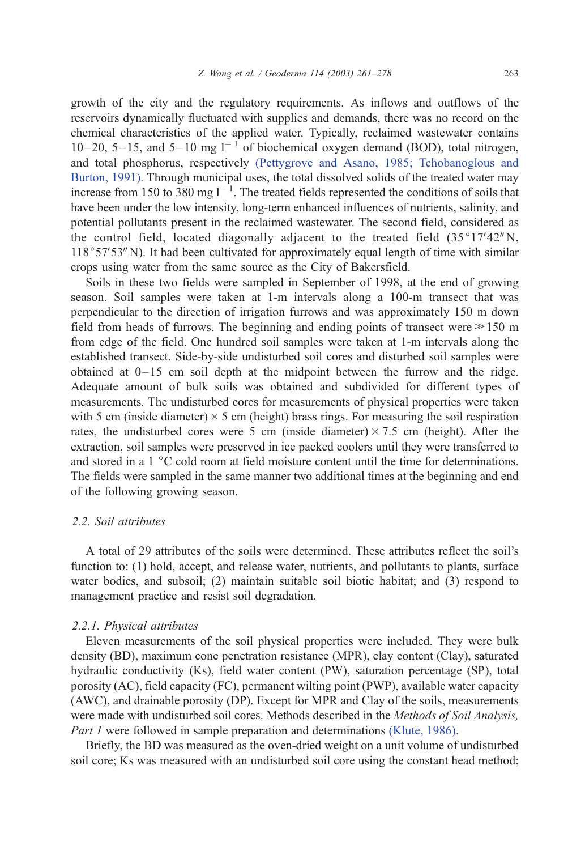growth of the city and the regulatory requirements. As inflows and outflows of the reservoirs dynamically fluctuated with supplies and demands, there was no record on the chemical characteristics of the applied water. Typically, reclaimed wastewater contains 10 – 20, 5 – 15, and 5 – 10 mg  $1^{-1}$  of biochemical oxygen demand (BOD), total nitrogen, and total phosphorus, respectively [\(Pettygrove and Asano, 1985; Tchobanoglous and](#page-17-0) Burton, 1991). Through municipal uses, the total dissolved solids of the treated water may increase from 150 to 380 mg  $1^{-1}$ . The treated fields represented the conditions of soils that have been under the low intensity, long-term enhanced influences of nutrients, salinity, and potential pollutants present in the reclaimed wastewater. The second field, considered as the control field, located diagonally adjacent to the treated field  $(35^{\circ}17'42''N,$  $118°57'53''$ N). It had been cultivated for approximately equal length of time with similar crops using water from the same source as the City of Bakersfield.

Soils in these two fields were sampled in September of 1998, at the end of growing season. Soil samples were taken at 1-m intervals along a 100-m transect that was perpendicular to the direction of irrigation furrows and was approximately 150 m down field from heads of furrows. The beginning and ending points of transect were $\geq 150$  m from edge of the field. One hundred soil samples were taken at 1-m intervals along the established transect. Side-by-side undisturbed soil cores and disturbed soil samples were obtained at  $0-15$  cm soil depth at the midpoint between the furrow and the ridge. Adequate amount of bulk soils was obtained and subdivided for different types of measurements. The undisturbed cores for measurements of physical properties were taken with 5 cm (inside diameter)  $\times$  5 cm (height) brass rings. For measuring the soil respiration rates, the undisturbed cores were 5 cm (inside diameter)  $\times$  7.5 cm (height). After the extraction, soil samples were preserved in ice packed coolers until they were transferred to and stored in a  $1 \degree C$  cold room at field moisture content until the time for determinations. The fields were sampled in the same manner two additional times at the beginning and end of the following growing season.

## 2.2. Soil attributes

A total of 29 attributes of the soils were determined. These attributes reflect the soil's function to: (1) hold, accept, and release water, nutrients, and pollutants to plants, surface water bodies, and subsoil; (2) maintain suitable soil biotic habitat; and (3) respond to management practice and resist soil degradation.

#### 2.2.1. Physical attributes

Eleven measurements of the soil physical properties were included. They were bulk density (BD), maximum cone penetration resistance (MPR), clay content (Clay), saturated hydraulic conductivity (Ks), field water content (PW), saturation percentage (SP), total porosity (AC), field capacity (FC), permanent wilting point (PWP), available water capacity (AWC), and drainable porosity (DP). Except for MPR and Clay of the soils, measurements were made with undisturbed soil cores. Methods described in the *Methods of Soil Analysis*, Part 1 were followed in sample preparation and determinations [\(Klute, 1986\).](#page-17-0)

Briefly, the BD was measured as the oven-dried weight on a unit volume of undisturbed soil core; Ks was measured with an undisturbed soil core using the constant head method;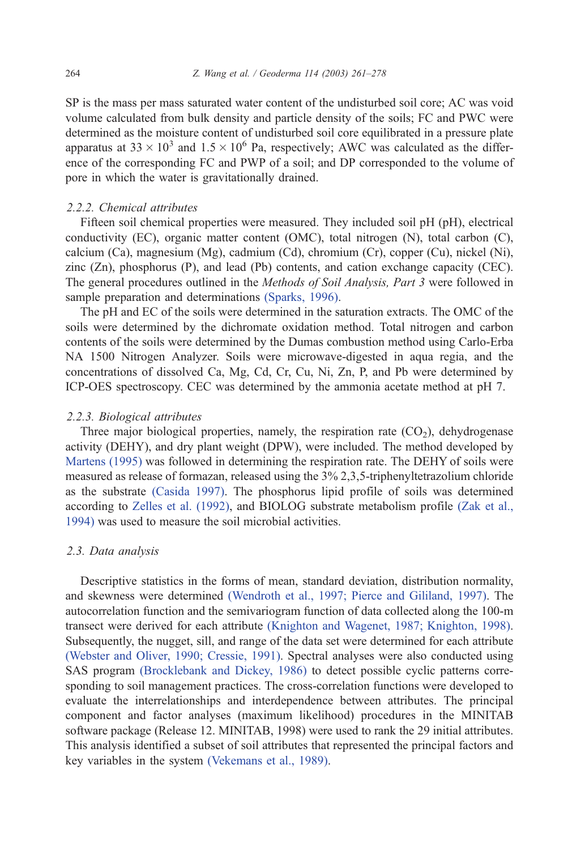SP is the mass per mass saturated water content of the undisturbed soil core; AC was void volume calculated from bulk density and particle density of the soils; FC and PWC were determined as the moisture content of undisturbed soil core equilibrated in a pressure plate apparatus at 33  $\times$  10<sup>3</sup> and 1.5  $\times$  10<sup>6</sup> Pa, respectively; AWC was calculated as the difference of the corresponding FC and PWP of a soil; and DP corresponded to the volume of pore in which the water is gravitationally drained.

## 2.2.2. Chemical attributes

Fifteen soil chemical properties were measured. They included soil pH (pH), electrical conductivity (EC), organic matter content (OMC), total nitrogen (N), total carbon (C), calcium (Ca), magnesium (Mg), cadmium (Cd), chromium (Cr), copper (Cu), nickel (Ni), zinc  $(Zn)$ , phosphorus  $(P)$ , and lead  $(Pb)$  contents, and cation exchange capacity (CEC). The general procedures outlined in the *Methods of Soil Analysis*, *Part 3* were followed in sample preparation and determinations [\(Sparks, 1996\).](#page-17-0)

The pH and EC of the soils were determined in the saturation extracts. The OMC of the soils were determined by the dichromate oxidation method. Total nitrogen and carbon contents of the soils were determined by the Dumas combustion method using Carlo-Erba NA 1500 Nitrogen Analyzer. Soils were microwave-digested in aqua regia, and the concentrations of dissolved Ca, Mg, Cd, Cr, Cu, Ni, Zn, P, and Pb were determined by ICP-OES spectroscopy. CEC was determined by the ammonia acetate method at pH 7.

## 2.2.3. Biological attributes

Three major biological properties, namely, the respiration rate  $(CO<sub>2</sub>)$ , dehydrogenase activity (DEHY), and dry plant weight (DPW), were included. The method developed by [Martens \(1995\)](#page-17-0) was followed in determining the respiration rate. The DEHY of soils were measured as release of formazan, released using the 3% 2,3,5-triphenyltetrazolium chloride as the substrate [\(Casida 1997\).](#page-16-0) The phosphorus lipid profile of soils was determined according to [Zelles et al. \(1992\),](#page-17-0) and BIOLOG substrate metabolism profile [\(Zak et al.,](#page-17-0) 1994) was used to measure the soil microbial activities.

#### 2.3. Data analysis

Descriptive statistics in the forms of mean, standard deviation, distribution normality, and skewness were determined [\(Wendroth et al., 1997; Pierce and Gililand, 1997\).](#page-17-0) The autocorrelation function and the semivariogram function of data collected along the 100-m transect were derived for each attribute [\(Knighton and Wagenet, 1987; Knighton, 1998\).](#page-17-0) Subsequently, the nugget, sill, and range of the data set were determined for each attribute [\(Webster and Oliver, 1990; Cressie, 1991\).](#page-17-0) Spectral analyses were also conducted using SAS program [\(Brocklebank and Dickey, 1986\)](#page-16-0) to detect possible cyclic patterns corresponding to soil management practices. The cross-correlation functions were developed to evaluate the interrelationships and interdependence between attributes. The principal component and factor analyses (maximum likelihood) procedures in the MINITAB software package (Release 12. MINITAB, 1998) were used to rank the 29 initial attributes. This analysis identified a subset of soil attributes that represented the principal factors and key variables in the system [\(Vekemans et al., 1989\).](#page-17-0)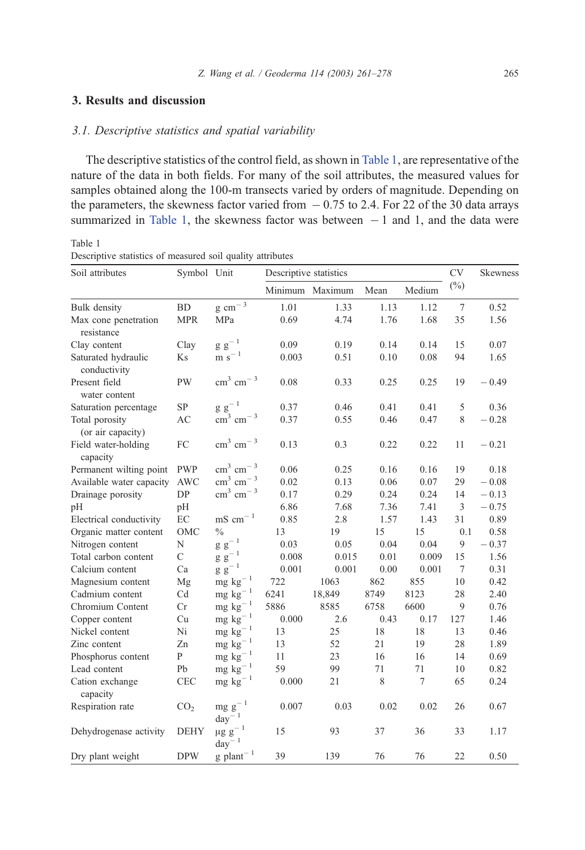## <span id="page-4-0"></span>3. Results and discussion

## 3.1. Descriptive statistics and spatial variability

The descriptive statistics of the control field, as shown in Table 1, are representative of the nature of the data in both fields. For many of the soil attributes, the measured values for samples obtained along the 100-m transects varied by orders of magnitude. Depending on the parameters, the skewness factor varied from  $-0.75$  to 2.4. For 22 of the 30 data arrays summarized in Table 1, the skewness factor was between  $-1$  and 1, and the data were

Table 1

Descriptive statistics of measured soil quality attributes

| Soil attributes                     | Symbol Unit     |                                | Descriptive statistics |                 |      |        | <b>CV</b>      | Skewness |
|-------------------------------------|-----------------|--------------------------------|------------------------|-----------------|------|--------|----------------|----------|
|                                     |                 |                                |                        | Minimum Maximum | Mean | Medium | $(\%)$         |          |
| Bulk density                        | <b>BD</b>       | $\rm g\ cm^{-3}$               | 1.01                   | 1.33            | 1.13 | 1.12   | $\overline{7}$ | 0.52     |
| Max cone penetration<br>resistance  | <b>MPR</b>      | MPa                            | 0.69                   | 4.74            | 1.76 | 1.68   | 35             | 1.56     |
| Clay content                        | Clay            | $\rm g~g^{-1}$                 | 0.09                   | 0.19            | 0.14 | 0.14   | 15             | 0.07     |
| Saturated hydraulic<br>conductivity | Ks              | $\text{m s}^{-1}$              | 0.003                  | 0.51            | 0.10 | 0.08   | 94             | 1.65     |
| Present field<br>water content      | <b>PW</b>       | $\text{cm}^3 \text{ cm}^{-3}$  | 0.08                   | 0.33            | 0.25 | 0.25   | 19             | $-0.49$  |
| Saturation percentage               | SP              | $\rm g~g^{-1}$                 | 0.37                   | 0.46            | 0.41 | 0.41   | 5              | 0.36     |
| Total porosity<br>(or air capacity) | AC              | $\rm cm^3$ $\rm cm^{-3}$       | 0.37                   | 0.55            | 0.46 | 0.47   | 8              | $-0.28$  |
| Field water-holding<br>capacity     | FC              | $\text{cm}^3 \text{ cm}^{-3}$  | 0.13                   | 0.3             | 0.22 | 0.22   | 11             | $-0.21$  |
| Permanent wilting point             | <b>PWP</b>      | $\text{cm}^3 \text{ cm}^{-3}$  | 0.06                   | 0.25            | 0.16 | 0.16   | 19             | 0.18     |
| Available water capacity            | <b>AWC</b>      | $\text{cm}^3 \text{ cm}^{-3}$  | 0.02                   | 0.13            | 0.06 | 0.07   | 29             | $-0.08$  |
| Drainage porosity                   | DP              | $\text{cm}^3 \text{ cm}^{-3}$  | 0.17                   | 0.29            | 0.24 | 0.24   | 14             | $-0.13$  |
| pH                                  | pH              |                                | 6.86                   | 7.68            | 7.36 | 7.41   | 3              | $-0.75$  |
| Electrical conductivity             | EC              | $mS$ cm <sup>-1</sup>          | 0.85                   | 2.8             | 1.57 | 1.43   | 31             | 0.89     |
| Organic matter content              | OMC             | $\frac{0}{0}$                  | 13                     | 19              | 15   | 15     | 0.1            | 0.58     |
| Nitrogen content                    | N               | $g\ g^{-1}$                    | 0.03                   | 0.05            | 0.04 | 0.04   | 9              | $-0.37$  |
| Total carbon content                | $\mathsf{C}$    | $g\ g^{-1}$                    | $0.008\,$              | 0.015           | 0.01 | 0.009  | 15             | 1.56     |
| Calcium content                     | Ca              | $\rm g~g^{-1}$                 | 0.001                  | 0.001           | 0.00 | 0.001  | 7              | 0.31     |
| Magnesium content                   | Mg              | $mg \ kg^{-1}$                 | 722                    | 1063            | 862  | 855    | 10             | 0.42     |
| Cadmium content                     | Cd              | mg $\rm kg^{-1}$               | 6241                   | 18,849          | 8749 | 8123   | 28             | 2.40     |
| Chromium Content                    | Cr              | $mg \text{ kg}^{-1}$           | 5886                   | 8585            | 6758 | 6600   | 9              | 0.76     |
| Copper content                      | Cu              | mg $\text{kg}^{-1}$            | 0.000                  | 2.6             | 0.43 | 0.17   | 127            | 1.46     |
| Nickel content                      | Ni              | mg $\rm kg^{-1}$               | 13                     | 25              | 18   | 18     | 13             | 0.46     |
| Zinc content                        | Zn              | mg $\rm kg^{-1}$               | 13                     | 52              | 21   | 19     | 28             | 1.89     |
| Phosphorus content                  | $\mathbf P$     | mg $\mathrm{kg}^{-1}$          | 11                     | 23              | 16   | 16     | 14             | 0.69     |
| Lead content                        | Pb              | mg $\mathrm{kg}^{-1}$          | 59                     | 99              | 71   | 71     | 10             | 0.82     |
| Cation exchange<br>capacity         | <b>CEC</b>      | mg $\rm kg^{-1}$               | 0.000                  | 21              | 8    | $\tau$ | 65             | 0.24     |
| Respiration rate                    | CO <sub>2</sub> | $mg g^{-1}$<br>$day^{-1}$      | 0.007                  | 0.03            | 0.02 | 0.02   | 26             | 0.67     |
| Dehydrogenase activity              | <b>DEHY</b>     | $\mu g$ $g^{-1}$<br>$day^{-1}$ | 15                     | 93              | 37   | 36     | 33             | 1.17     |
| Dry plant weight                    | <b>DPW</b>      | $g$ plant <sup>-1</sup>        | 39                     | 139             | 76   | 76     | 22             | 0.50     |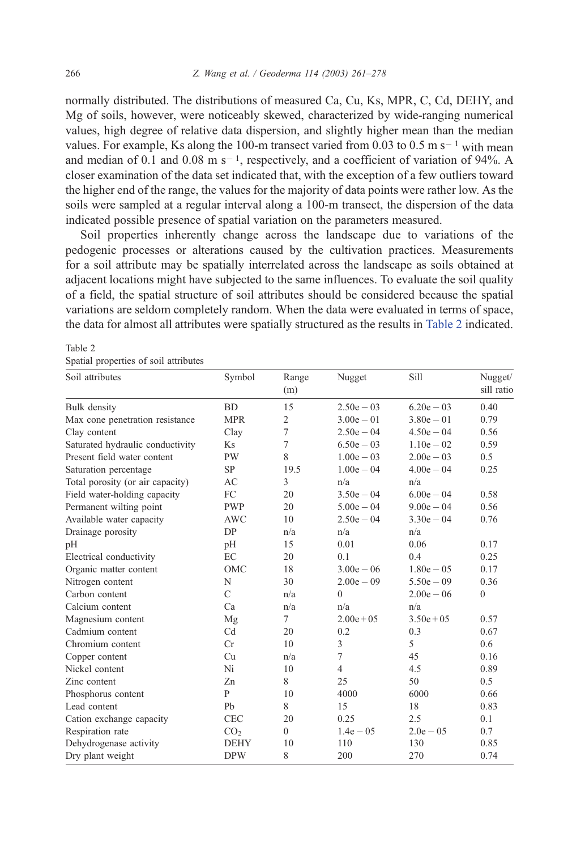normally distributed. The distributions of measured Ca, Cu, Ks, MPR, C, Cd, DEHY, and Mg of soils, however, were noticeably skewed, characterized by wide-ranging numerical values, high degree of relative data dispersion, and slightly higher mean than the median values. For example, Ks along the 100-m transect varied from 0.03 to 0.5 m s<sup> $-1$ </sup> with mean and median of 0.1 and 0.08 m s<sup>-1</sup>, respectively, and a coefficient of variation of 94%. A closer examination of the data set indicated that, with the exception of a few outliers toward the higher end of the range, the values for the majority of data points were rather low. As the soils were sampled at a regular interval along a 100-m transect, the dispersion of the data indicated possible presence of spatial variation on the parameters measured.

Soil properties inherently change across the landscape due to variations of the pedogenic processes or alterations caused by the cultivation practices. Measurements for a soil attribute may be spatially interrelated across the landscape as soils obtained at adjacent locations might have subjected to the same influences. To evaluate the soil quality of a field, the spatial structure of soil attributes should be considered because the spatial variations are seldom completely random. When the data were evaluated in terms of space, the data for almost all attributes were spatially structured as the results in Table 2 indicated.

| Table 2 |                                       |  |
|---------|---------------------------------------|--|
|         | Spatial properties of soil attributes |  |

| Soil attributes                  | Symbol          | Range<br>(m)   | Nugget         | Sill         | Nugget/<br>sill ratio |
|----------------------------------|-----------------|----------------|----------------|--------------|-----------------------|
| Bulk density                     | <b>BD</b>       | 15             | $2.50e - 03$   | $6.20e - 03$ | 0.40                  |
| Max cone penetration resistance  | <b>MPR</b>      | $\mathfrak{2}$ | $3.00e - 01$   | $3.80e - 01$ | 0.79                  |
| Clay content                     | Clay            | 7              | $2.50e - 04$   | $4.50e - 04$ | 0.56                  |
| Saturated hydraulic conductivity | Ks              | 7              | $6.50e - 03$   | $1.10e - 02$ | 0.59                  |
| Present field water content      | <b>PW</b>       | 8              | $1.00e - 03$   | $2.00e - 03$ | 0.5                   |
| Saturation percentage            | <b>SP</b>       | 19.5           | $1.00e - 04$   | $4.00e - 04$ | 0.25                  |
| Total porosity (or air capacity) | AC              | 3              | n/a            | n/a          |                       |
| Field water-holding capacity     | FC              | 20             | $3.50e - 04$   | $6.00e - 04$ | 0.58                  |
| Permanent wilting point          | <b>PWP</b>      | 20             | $5.00e - 04$   | $9.00e - 04$ | 0.56                  |
| Available water capacity         | AWC             | 10             | $2.50e - 04$   | $3.30e - 04$ | 0.76                  |
| Drainage porosity                | DP              | n/a            | n/a            | n/a          |                       |
| pH                               | pH              | 15             | 0.01           | 0.06         | 0.17                  |
| Electrical conductivity          | EC              | 20             | 0.1            | 0.4          | 0.25                  |
| Organic matter content           | OMC             | 18             | $3.00e - 06$   | $1.80e - 05$ | 0.17                  |
| Nitrogen content                 | N               | 30             | $2.00e - 09$   | $5.50e - 09$ | 0.36                  |
| Carbon content                   | $\mathcal{C}$   | n/a            | $\theta$       | $2.00e - 06$ | $\mathbf{0}$          |
| Calcium content                  | Ca              | n/a            | n/a            | n/a          |                       |
| Magnesium content                | Mg              | $\tau$         | $2.00e + 0.5$  | $3.50e + 05$ | 0.57                  |
| Cadmium content                  | Cd              | 20             | 0.2            | 0.3          | 0.67                  |
| Chromium content                 | Cr              | 10             | 3              | 5            | 0.6                   |
| Copper content                   | Cu              | n/a            | 7              | 45           | 0.16                  |
| Nickel content                   | Ni              | 10             | $\overline{4}$ | 4.5          | 0.89                  |
| Zinc content                     | Zn              | 8              | 25             | 50           | 0.5                   |
| Phosphorus content               | P               | 10             | 4000           | 6000         | 0.66                  |
| Lead content                     | Ph              | 8              | 15             | 18           | 0.83                  |
| Cation exchange capacity         | <b>CEC</b>      | 20             | 0.25           | 2.5          | 0.1                   |
| Respiration rate                 | CO <sub>2</sub> | $\mathbf{0}$   | $1.4e - 0.5$   | $2.0e - 0.5$ | 0.7                   |
| Dehydrogenase activity           | <b>DEHY</b>     | 10             | 110            | 130          | 0.85                  |
| Dry plant weight                 | <b>DPW</b>      | 8              | 200            | 270          | 0.74                  |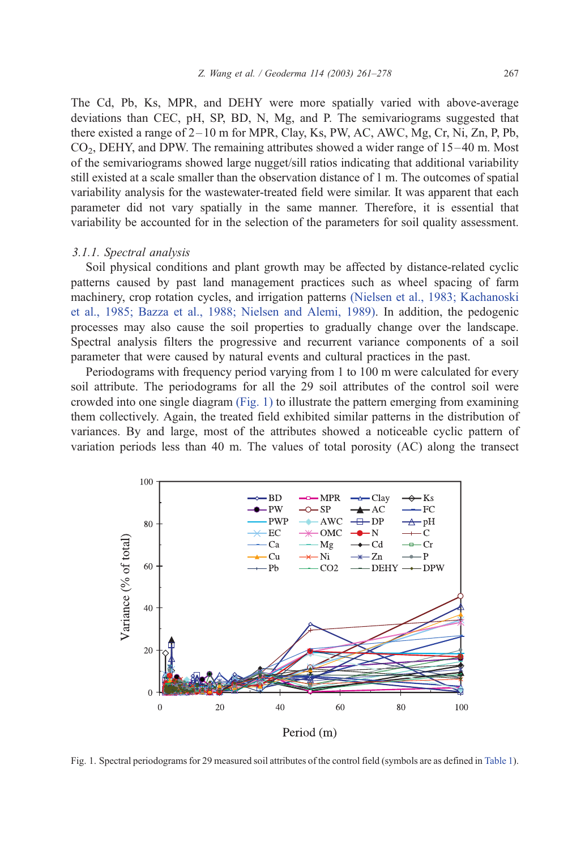The Cd, Pb, Ks, MPR, and DEHY were more spatially varied with above-average deviations than CEC, pH, SP, BD, N, Mg, and P. The semivariograms suggested that there existed a range of  $2-10$  m for MPR, Clay, Ks, PW, AC, AWC, Mg, Cr, Ni, Zn, P, Pb,  $CO<sub>2</sub>$ , DEHY, and DPW. The remaining attributes showed a wider range of 15–40 m. Most of the semivariograms showed large nugget/sill ratios indicating that additional variability still existed at a scale smaller than the observation distance of 1 m. The outcomes of spatial variability analysis for the wastewater-treated field were similar. It was apparent that each parameter did not vary spatially in the same manner. Therefore, it is essential that variability be accounted for in the selection of the parameters for soil quality assessment.

#### 3.1.1. Spectral analysis

Soil physical conditions and plant growth may be affected by distance-related cyclic patterns caused by past land management practices such as wheel spacing of farm machinery, crop rotation cycles, and irrigation patterns [\(Nielsen et al., 1983; Kachanoski](#page-17-0) et al., 1985; Bazza et al., 1988; Nielsen and Alemi, 1989). In addition, the pedogenic processes may also cause the soil properties to gradually change over the landscape. Spectral analysis filters the progressive and recurrent variance components of a soil parameter that were caused by natural events and cultural practices in the past.

Periodograms with frequency period varying from 1 to 100 m were calculated for every soil attribute. The periodograms for all the 29 soil attributes of the control soil were crowded into one single diagram (Fig. 1) to illustrate the pattern emerging from examining them collectively. Again, the treated field exhibited similar patterns in the distribution of variances. By and large, most of the attributes showed a noticeable cyclic pattern of variation periods less than 40 m. The values of total porosity (AC) along the transect



Fig. 1. Spectral periodograms for 29 measured soil attributes of the control field (symbols are as defined in [Table 1\)](#page-4-0).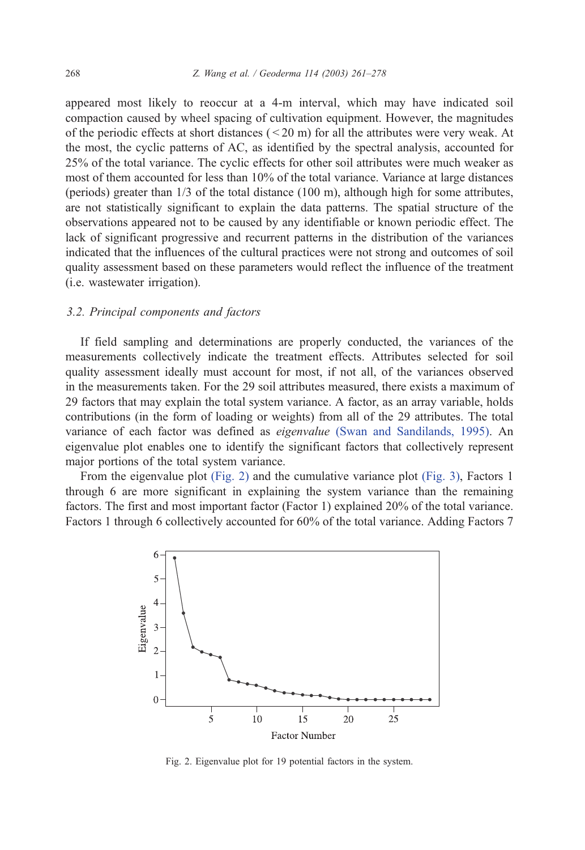appeared most likely to reoccur at a 4-m interval, which may have indicated soil compaction caused by wheel spacing of cultivation equipment. However, the magnitudes of the periodic effects at short distances  $(< 20 \text{ m})$  for all the attributes were very weak. At the most, the cyclic patterns of AC, as identified by the spectral analysis, accounted for 25% of the total variance. The cyclic effects for other soil attributes were much weaker as most of them accounted for less than 10% of the total variance. Variance at large distances (periods) greater than 1/3 of the total distance (100 m), although high for some attributes, are not statistically significant to explain the data patterns. The spatial structure of the observations appeared not to be caused by any identifiable or known periodic effect. The lack of significant progressive and recurrent patterns in the distribution of the variances indicated that the influences of the cultural practices were not strong and outcomes of soil quality assessment based on these parameters would reflect the influence of the treatment (i.e. wastewater irrigation).

#### 3.2. Principal components and factors

If field sampling and determinations are properly conducted, the variances of the measurements collectively indicate the treatment effects. Attributes selected for soil quality assessment ideally must account for most, if not all, of the variances observed in the measurements taken. For the 29 soil attributes measured, there exists a maximum of 29 factors that may explain the total system variance. A factor, as an array variable, holds contributions (in the form of loading or weights) from all of the 29 attributes. The total variance of each factor was defined as eigenvalue [\(Swan and Sandilands, 1995\).](#page-17-0) An eigenvalue plot enables one to identify the significant factors that collectively represent major portions of the total system variance.

From the eigenvalue plot (Fig. 2) and the cumulative variance plot [\(Fig. 3\),](#page-8-0) Factors 1 through 6 are more significant in explaining the system variance than the remaining factors. The first and most important factor (Factor 1) explained 20% of the total variance. Factors 1 through 6 collectively accounted for 60% of the total variance. Adding Factors 7



Fig. 2. Eigenvalue plot for 19 potential factors in the system.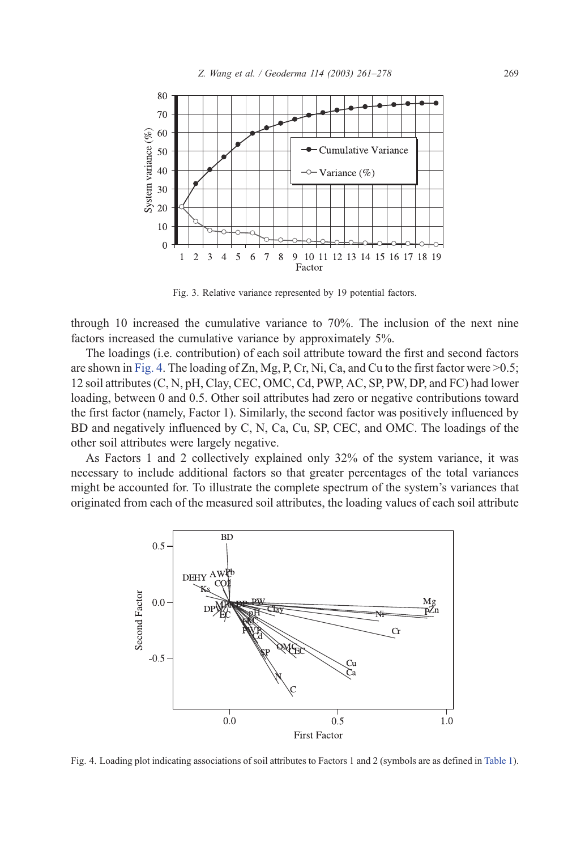<span id="page-8-0"></span>

Fig. 3. Relative variance represented by 19 potential factors.

through 10 increased the cumulative variance to 70%. The inclusion of the next nine factors increased the cumulative variance by approximately 5%.

The loadings (i.e. contribution) of each soil attribute toward the first and second factors are shown in Fig. 4. The loading of Zn, Mg, P, Cr, Ni, Ca, and Cu to the first factor were >0.5; 12 soil attributes (C, N, pH, Clay, CEC, OMC, Cd, PWP, AC, SP, PW, DP, and FC) had lower loading, between 0 and 0.5. Other soil attributes had zero or negative contributions toward the first factor (namely, Factor 1). Similarly, the second factor was positively influenced by BD and negatively influenced by C, N, Ca, Cu, SP, CEC, and OMC. The loadings of the other soil attributes were largely negative.

As Factors 1 and 2 collectively explained only 32% of the system variance, it was necessary to include additional factors so that greater percentages of the total variances might be accounted for. To illustrate the complete spectrum of the system's variances that originated from each of the measured soil attributes, the loading values of each soil attribute



Fig. 4. Loading plot indicating associations of soil attributes to Factors 1 and 2 (symbols are as defined in [Table 1\)](#page-4-0).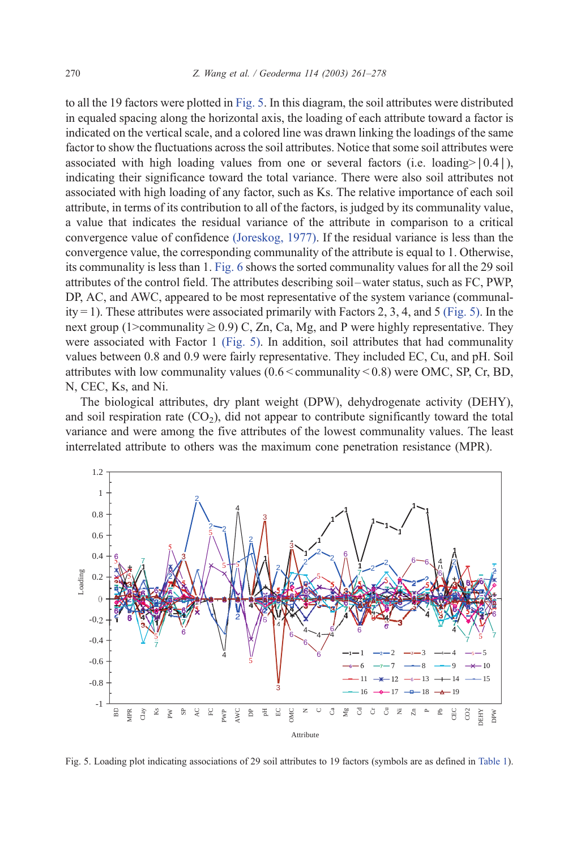to all the 19 factors were plotted in Fig. 5. In this diagram, the soil attributes were distributed in equaled spacing along the horizontal axis, the loading of each attribute toward a factor is indicated on the vertical scale, and a colored line was drawn linking the loadings of the same factor to show the fluctuations across the soil attributes. Notice that some soil attributes were associated with high loading values from one or several factors (i.e. loading  $>$  | 0.4 | ), indicating their significance toward the total variance. There were also soil attributes not associated with high loading of any factor, such as Ks. The relative importance of each soil attribute, in terms of its contribution to all of the factors, is judged by its communality value, a value that indicates the residual variance of the attribute in comparison to a critical convergence value of confidence [\(Joreskog, 1977\).](#page-17-0) If the residual variance is less than the convergence value, the corresponding communality of the attribute is equal to 1. Otherwise, its communality is less than 1. [Fig. 6](#page-10-0) shows the sorted communality values for all the 29 soil attributes of the control field. The attributes describing soil –water status, such as FC, PWP, DP, AC, and AWC, appeared to be most representative of the system variance (communality = 1). These attributes were associated primarily with Factors 2, 3, 4, and 5 (Fig. 5). In the next group (1>communality  $\geq$  0.9) C, Zn, Ca, Mg, and P were highly representative. They were associated with Factor 1 (Fig. 5). In addition, soil attributes that had communality values between 0.8 and 0.9 were fairly representative. They included EC, Cu, and pH. Soil attributes with low communality values  $(0.6 \leq$  communality  $\leq 0.8$ ) were OMC, SP, Cr, BD, N, CEC, Ks, and Ni.

The biological attributes, dry plant weight (DPW), dehydrogenate activity (DEHY), and soil respiration rate  $(CO<sub>2</sub>)$ , did not appear to contribute significantly toward the total variance and were among the five attributes of the lowest communality values. The least interrelated attribute to others was the maximum cone penetration resistance (MPR).



Fig. 5. Loading plot indicating associations of 29 soil attributes to 19 factors (symbols are as defined in [Table 1\)](#page-4-0).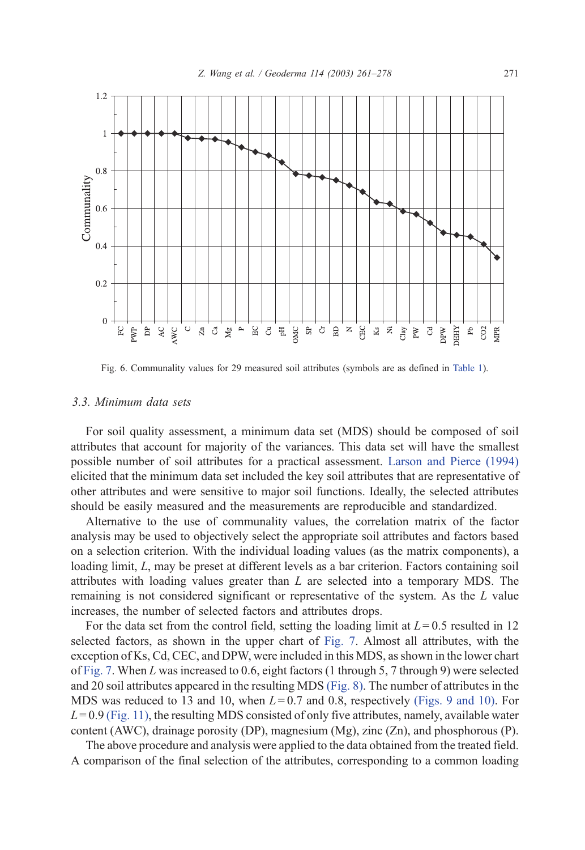<span id="page-10-0"></span>

Fig. 6. Communality values for 29 measured soil attributes (symbols are as defined in [Table 1\)](#page-4-0).

#### 3.3. Minimum data sets

For soil quality assessment, a minimum data set (MDS) should be composed of soil attributes that account for majority of the variances. This data set will have the smallest possible number of soil attributes for a practical assessment. [Larson and Pierce \(1994\)](#page-17-0) elicited that the minimum data set included the key soil attributes that are representative of other attributes and were sensitive to major soil functions. Ideally, the selected attributes should be easily measured and the measurements are reproducible and standardized.

Alternative to the use of communality values, the correlation matrix of the factor analysis may be used to objectively select the appropriate soil attributes and factors based on a selection criterion. With the individual loading values (as the matrix components), a loading limit, L, may be preset at different levels as a bar criterion. Factors containing soil attributes with loading values greater than L are selected into a temporary MDS. The remaining is not considered significant or representative of the system. As the L value increases, the number of selected factors and attributes drops.

For the data set from the control field, setting the loading limit at  $L= 0.5$  resulted in 12 selected factors, as shown in the upper chart of [Fig. 7.](#page-11-0) Almost all attributes, with the exception of Ks, Cd, CEC, and DPW, were included in this MDS, as shown in the lower chart of [Fig. 7.](#page-11-0) When L was increased to 0.6, eight factors (1 through 5, 7 through 9) were selected and 20 soil attributes appeared in the resulting MDS [\(Fig. 8\).](#page-11-0) The number of attributes in the MDS was reduced to 13 and 10, when  $L = 0.7$  and 0.8, respectively [\(Figs. 9 and 10\).](#page-12-0) For  $L = 0.9$  [\(Fig. 11\),](#page-13-0) the resulting MDS consisted of only five attributes, namely, available water content (AWC), drainage porosity (DP), magnesium (Mg), zinc (Zn), and phosphorous (P).

The above procedure and analysis were applied to the data obtained from the treated field. A comparison of the final selection of the attributes, corresponding to a common loading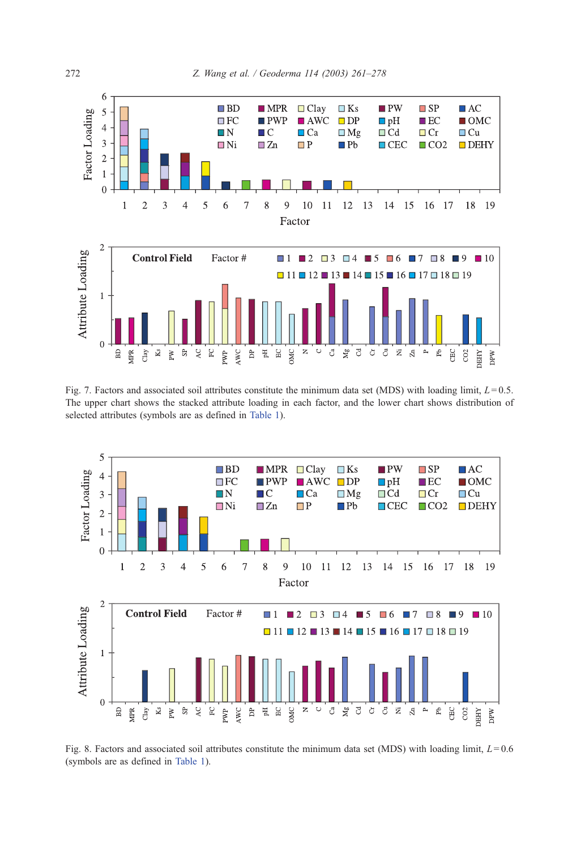<span id="page-11-0"></span>

Fig. 7. Factors and associated soil attributes constitute the minimum data set (MDS) with loading limit,  $L=0.5$ . The upper chart shows the stacked attribute loading in each factor, and the lower chart shows distribution of selected attributes (symbols are as defined in [Table 1\)](#page-4-0).



Fig. 8. Factors and associated soil attributes constitute the minimum data set (MDS) with loading limit,  $L=0.6$ (symbols are as defined in [Table 1\)](#page-4-0).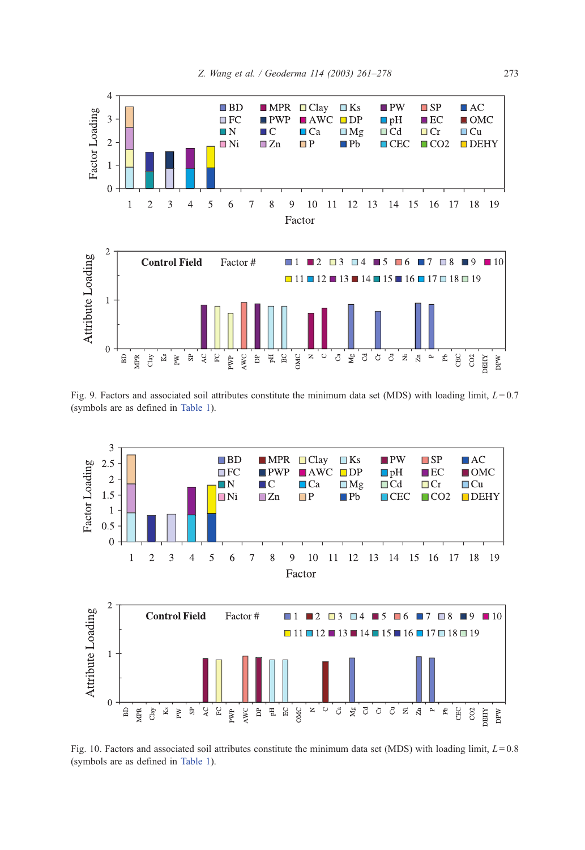<span id="page-12-0"></span>

Fig. 9. Factors and associated soil attributes constitute the minimum data set (MDS) with loading limit,  $L=0.7$ (symbols are as defined in [Table 1\)](#page-4-0).



Fig. 10. Factors and associated soil attributes constitute the minimum data set (MDS) with loading limit,  $L=0.8$ (symbols are as defined in [Table 1\)](#page-4-0).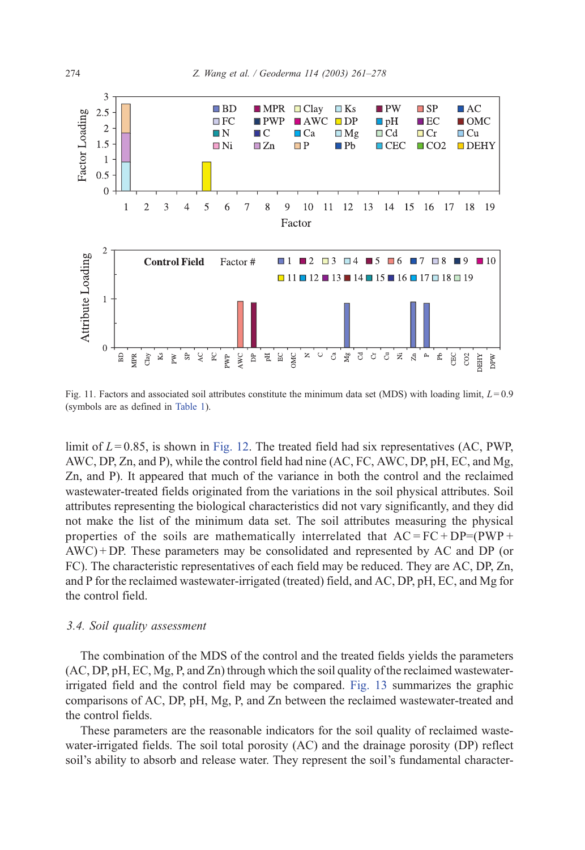<span id="page-13-0"></span>

Fig. 11. Factors and associated soil attributes constitute the minimum data set (MDS) with loading limit,  $L=0.9$ (symbols are as defined in [Table 1\)](#page-4-0).

limit of  $L = 0.85$ , is shown in [Fig. 12.](#page-14-0) The treated field had six representatives (AC, PWP, AWC, DP, Zn, and P), while the control field had nine (AC, FC, AWC, DP, pH, EC, and Mg, Zn, and P). It appeared that much of the variance in both the control and the reclaimed wastewater-treated fields originated from the variations in the soil physical attributes. Soil attributes representing the biological characteristics did not vary significantly, and they did not make the list of the minimum data set. The soil attributes measuring the physical properties of the soils are mathematically interrelated that  $AC = FC + DP = (PWP +$ AWC) + DP. These parameters may be consolidated and represented by AC and DP (or FC). The characteristic representatives of each field may be reduced. They are AC, DP, Zn, and P for the reclaimed wastewater-irrigated (treated) field, and AC, DP, pH, EC, and Mg for the control field.

#### 3.4. Soil quality assessment

The combination of the MDS of the control and the treated fields yields the parameters (AC, DP, pH, EC, Mg, P, and Zn) through which the soil quality of the reclaimed wastewaterirrigated field and the control field may be compared. [Fig. 13](#page-15-0) summarizes the graphic comparisons of AC, DP, pH, Mg, P, and Zn between the reclaimed wastewater-treated and the control fields.

These parameters are the reasonable indicators for the soil quality of reclaimed wastewater-irrigated fields. The soil total porosity (AC) and the drainage porosity (DP) reflect soil's ability to absorb and release water. They represent the soil's fundamental character-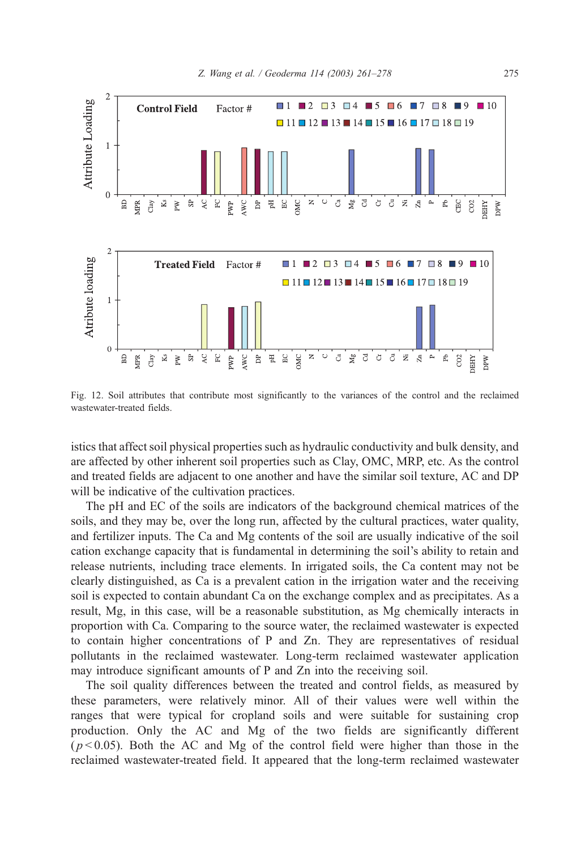<span id="page-14-0"></span>

Fig. 12. Soil attributes that contribute most significantly to the variances of the control and the reclaimed wastewater-treated fields.

istics that affect soil physical properties such as hydraulic conductivity and bulk density, and are affected by other inherent soil properties such as Clay, OMC, MRP, etc. As the control and treated fields are adjacent to one another and have the similar soil texture, AC and DP will be indicative of the cultivation practices.

The pH and EC of the soils are indicators of the background chemical matrices of the soils, and they may be, over the long run, affected by the cultural practices, water quality, and fertilizer inputs. The Ca and Mg contents of the soil are usually indicative of the soil cation exchange capacity that is fundamental in determining the soil's ability to retain and release nutrients, including trace elements. In irrigated soils, the Ca content may not be clearly distinguished, as Ca is a prevalent cation in the irrigation water and the receiving soil is expected to contain abundant Ca on the exchange complex and as precipitates. As a result, Mg, in this case, will be a reasonable substitution, as Mg chemically interacts in proportion with Ca. Comparing to the source water, the reclaimed wastewater is expected to contain higher concentrations of P and Zn. They are representatives of residual pollutants in the reclaimed wastewater. Long-term reclaimed wastewater application may introduce significant amounts of P and Zn into the receiving soil.

The soil quality differences between the treated and control fields, as measured by these parameters, were relatively minor. All of their values were well within the ranges that were typical for cropland soils and were suitable for sustaining crop production. Only the AC and Mg of the two fields are significantly different  $(p<0.05)$ . Both the AC and Mg of the control field were higher than those in the reclaimed wastewater-treated field. It appeared that the long-term reclaimed wastewater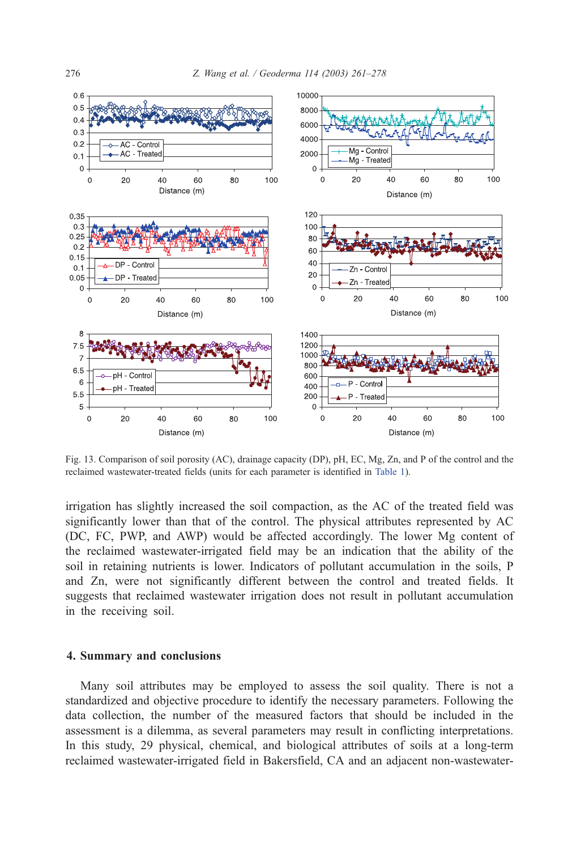<span id="page-15-0"></span>

Fig. 13. Comparison of soil porosity (AC), drainage capacity (DP), pH, EC, Mg, Zn, and P of the control and the reclaimed wastewater-treated fields (units for each parameter is identified in [Table 1\)](#page-4-0).

irrigation has slightly increased the soil compaction, as the AC of the treated field was significantly lower than that of the control. The physical attributes represented by AC (DC, FC, PWP, and AWP) would be affected accordingly. The lower Mg content of the reclaimed wastewater-irrigated field may be an indication that the ability of the soil in retaining nutrients is lower. Indicators of pollutant accumulation in the soils, P and Zn, were not significantly different between the control and treated fields. It suggests that reclaimed wastewater irrigation does not result in pollutant accumulation in the receiving soil.

## 4. Summary and conclusions

Many soil attributes may be employed to assess the soil quality. There is not a standardized and objective procedure to identify the necessary parameters. Following the data collection, the number of the measured factors that should be included in the assessment is a dilemma, as several parameters may result in conflicting interpretations. In this study, 29 physical, chemical, and biological attributes of soils at a long-term reclaimed wastewater-irrigated field in Bakersfield, CA and an adjacent non-wastewater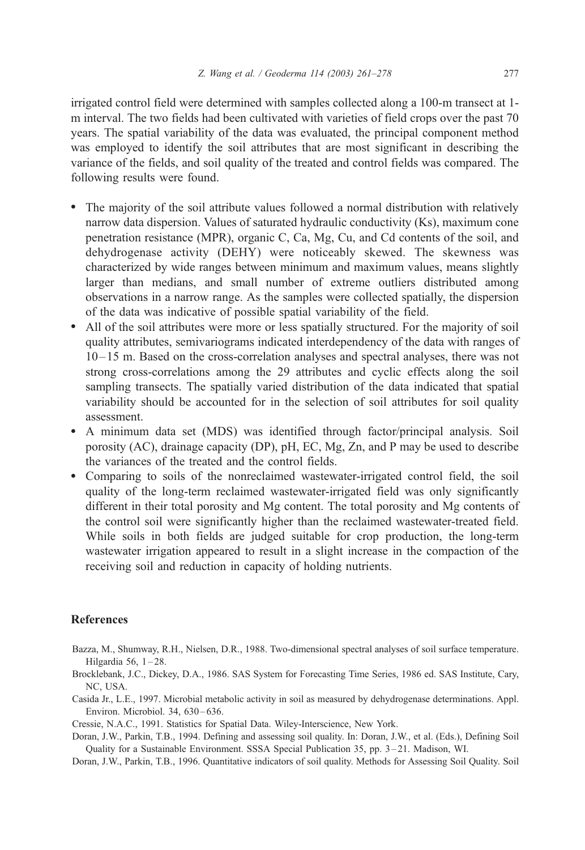<span id="page-16-0"></span>irrigated control field were determined with samples collected along a 100-m transect at 1 m interval. The two fields had been cultivated with varieties of field crops over the past 70 years. The spatial variability of the data was evaluated, the principal component method was employed to identify the soil attributes that are most significant in describing the variance of the fields, and soil quality of the treated and control fields was compared. The following results were found.

- The majority of the soil attribute values followed a normal distribution with relatively narrow data dispersion. Values of saturated hydraulic conductivity (Ks), maximum cone penetration resistance (MPR), organic C, Ca, Mg, Cu, and Cd contents of the soil, and dehydrogenase activity (DEHY) were noticeably skewed. The skewness was characterized by wide ranges between minimum and maximum values, means slightly larger than medians, and small number of extreme outliers distributed among observations in a narrow range. As the samples were collected spatially, the dispersion of the data was indicative of possible spatial variability of the field.
- All of the soil attributes were more or less spatially structured. For the majority of soil quality attributes, semivariograms indicated interdependency of the data with ranges of 10 –15 m. Based on the cross-correlation analyses and spectral analyses, there was not strong cross-correlations among the 29 attributes and cyclic effects along the soil sampling transects. The spatially varied distribution of the data indicated that spatial variability should be accounted for in the selection of soil attributes for soil quality assessment.
- A minimum data set (MDS) was identified through factor/principal analysis. Soil porosity (AC), drainage capacity (DP), pH, EC, Mg, Zn, and P may be used to describe the variances of the treated and the control fields.
- Comparing to soils of the nonreclaimed wastewater-irrigated control field, the soil quality of the long-term reclaimed wastewater-irrigated field was only significantly different in their total porosity and Mg content. The total porosity and Mg contents of the control soil were significantly higher than the reclaimed wastewater-treated field. While soils in both fields are judged suitable for crop production, the long-term wastewater irrigation appeared to result in a slight increase in the compaction of the receiving soil and reduction in capacity of holding nutrients.

## References

- Bazza, M., Shumway, R.H., Nielsen, D.R., 1988. Two-dimensional spectral analyses of soil surface temperature. Hilgardia 56,  $1 - 28$ .
- Brocklebank, J.C., Dickey, D.A., 1986. SAS System for Forecasting Time Series, 1986 ed. SAS Institute, Cary, NC, USA.
- Casida Jr., L.E., 1997. Microbial metabolic activity in soil as measured by dehydrogenase determinations. Appl. Environ. Microbiol. 34, 630-636.
- Cressie, N.A.C., 1991. Statistics for Spatial Data. Wiley-Interscience, New York.
- Doran, J.W., Parkin, T.B., 1994. Defining and assessing soil quality. In: Doran, J.W., et al. (Eds.), Defining Soil Quality for a Sustainable Environment. SSSA Special Publication 35, pp. 3 – 21. Madison, WI.
- Doran, J.W., Parkin, T.B., 1996. Quantitative indicators of soil quality. Methods for Assessing Soil Quality. Soil